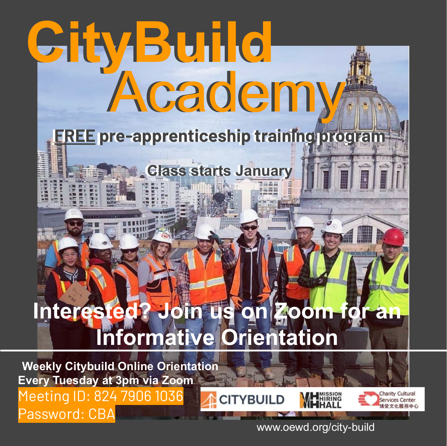# **CityBuild CityBuild** Academy Academy

## **FREE pre-apprenticeship training program**

## **Class starts January**

## Interested? Join us on Zoom for **Informative Orientation**

**CITYBUILD** 

**Weekly Citybuild Online Orientation Every Tuesday at 3pm via Zoom** Meeting ID: 824 7906 1036 Password: CBA



www.oewd.org/city-build